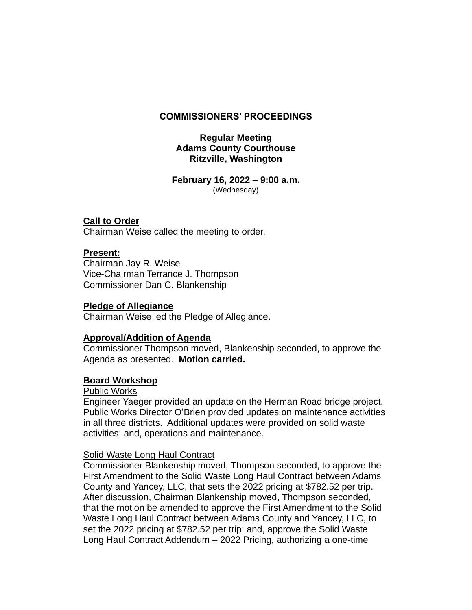## **COMMISSIONERS' PROCEEDINGS**

# **Regular Meeting Adams County Courthouse Ritzville, Washington**

**February 16, 2022 – 9:00 a.m.** (Wednesday)

## **Call to Order**

Chairman Weise called the meeting to order.

## **Present:**

Chairman Jay R. Weise Vice-Chairman Terrance J. Thompson Commissioner Dan C. Blankenship

#### **Pledge of Allegiance**

Chairman Weise led the Pledge of Allegiance.

#### **Approval/Addition of Agenda**

Commissioner Thompson moved, Blankenship seconded, to approve the Agenda as presented. **Motion carried.**

#### **Board Workshop**

#### Public Works

Engineer Yaeger provided an update on the Herman Road bridge project. Public Works Director O'Brien provided updates on maintenance activities in all three districts. Additional updates were provided on solid waste activities; and, operations and maintenance.

#### Solid Waste Long Haul Contract

Commissioner Blankenship moved, Thompson seconded, to approve the First Amendment to the Solid Waste Long Haul Contract between Adams County and Yancey, LLC, that sets the 2022 pricing at \$782.52 per trip. After discussion, Chairman Blankenship moved, Thompson seconded, that the motion be amended to approve the First Amendment to the Solid Waste Long Haul Contract between Adams County and Yancey, LLC, to set the 2022 pricing at \$782.52 per trip; and, approve the Solid Waste Long Haul Contract Addendum – 2022 Pricing, authorizing a one-time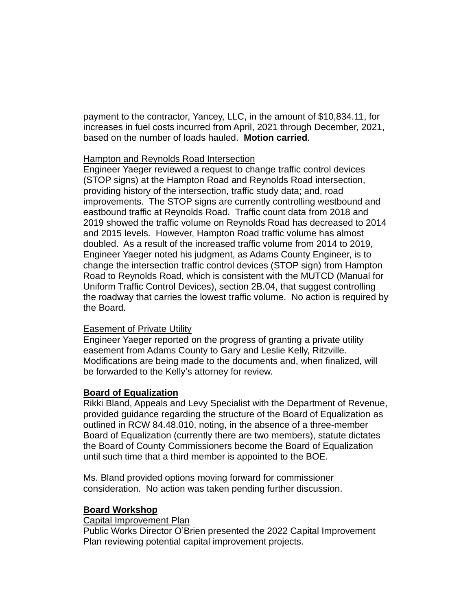payment to the contractor, Yancey, LLC, in the amount of \$10,834.11, for increases in fuel costs incurred from April, 2021 through December, 2021, based on the number of loads hauled. **Motion carried**.

## Hampton and Reynolds Road Intersection

Engineer Yaeger reviewed a request to change traffic control devices (STOP signs) at the Hampton Road and Reynolds Road intersection, providing history of the intersection, traffic study data; and, road improvements. The STOP signs are currently controlling westbound and eastbound traffic at Reynolds Road. Traffic count data from 2018 and 2019 showed the traffic volume on Reynolds Road has decreased to 2014 and 2015 levels. However, Hampton Road traffic volume has almost doubled. As a result of the increased traffic volume from 2014 to 2019, Engineer Yaeger noted his judgment, as Adams County Engineer, is to change the intersection traffic control devices (STOP sign) from Hampton Road to Reynolds Road, which is consistent with the MUTCD (Manual for Uniform Traffic Control Devices), section 2B.04, that suggest controlling the roadway that carries the lowest traffic volume. No action is required by the Board.

# Easement of Private Utility

Engineer Yaeger reported on the progress of granting a private utility easement from Adams County to Gary and Leslie Kelly, Ritzville. Modifications are being made to the documents and, when finalized, will be forwarded to the Kelly's attorney for review.

# **Board of Equalization**

Rikki Bland, Appeals and Levy Specialist with the Department of Revenue, provided guidance regarding the structure of the Board of Equalization as outlined in RCW 84.48.010, noting, in the absence of a three-member Board of Equalization (currently there are two members), statute dictates the Board of County Commissioners become the Board of Equalization until such time that a third member is appointed to the BOE.

Ms. Bland provided options moving forward for commissioner consideration. No action was taken pending further discussion.

#### **Board Workshop**

#### Capital Improvement Plan

Public Works Director O'Brien presented the 2022 Capital Improvement Plan reviewing potential capital improvement projects.